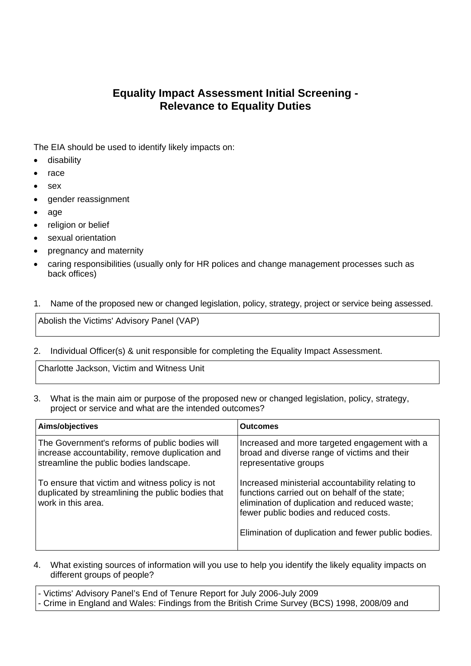## **Equality Impact Assessment Initial Screening - Relevance to Equality Duties**

The EIA should be used to identify likely impacts on:

- disability
- $\bullet$  race
- sex
- gender reassignment
- age
- religion or belief
- sexual orientation
- pregnancy and maternity
- caring responsibilities (usually only for HR polices and change management processes such as back offices)
- 1. Name of the proposed new or changed legislation, policy, strategy, project or service being assessed.

Abolish the Victims' Advisory Panel (VAP)

2. Individual Officer(s) & unit responsible for completing the Equality Impact Assessment.

Charlotte Jackson, Victim and Witness Unit

3. What is the main aim or purpose of the proposed new or changed legislation, policy, strategy, project or service and what are the intended outcomes?

| Aims/objectives                                                                                                                              | ∣Outcomes                                                                                                                                                                                    |
|----------------------------------------------------------------------------------------------------------------------------------------------|----------------------------------------------------------------------------------------------------------------------------------------------------------------------------------------------|
| The Government's reforms of public bodies will<br>increase accountability, remove duplication and<br>streamline the public bodies landscape. | Increased and more targeted engagement with a<br>broad and diverse range of victims and their<br>representative groups                                                                       |
| To ensure that victim and witness policy is not<br>duplicated by streamlining the public bodies that<br>work in this area.                   | Increased ministerial accountability relating to<br>functions carried out on behalf of the state;<br>elimination of duplication and reduced waste;<br>fewer public bodies and reduced costs. |
|                                                                                                                                              | Elimination of duplication and fewer public bodies.                                                                                                                                          |

4. What existing sources of information will you use to help you identify the likely equality impacts on different groups of people?

| - Victims' Advisory Panel's End of Tenure Report for July 2006-July 2009                     |  |
|----------------------------------------------------------------------------------------------|--|
| - Crime in England and Wales: Findings from the British Crime Survey (BCS) 1998, 2008/09 and |  |